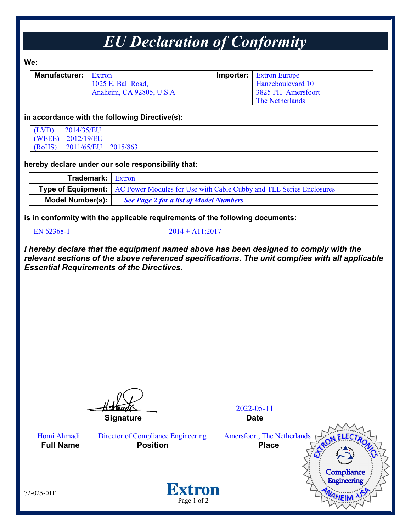## *EU Declaration of Conformity*

**We:** 

| <b>Manufacturer:</b> Extron |                          | <b>Importer:</b> Extron Europe |
|-----------------------------|--------------------------|--------------------------------|
|                             | 1025 E. Ball Road,       | Hanzeboulevard 10              |
|                             | Anaheim, CA 92805, U.S.A | 3825 PH Amersfoort             |
|                             |                          | The Netherlands                |

#### **in accordance with the following Directive(s):**

(LVD) 2014/35/EU (WEEE) 2012/19/EU (RoHS) 2011/65/EU + 2015/863

#### **hereby declare under our sole responsibility that:**

| <b>Trademark:</b> Extron |                                                                                               |
|--------------------------|-----------------------------------------------------------------------------------------------|
|                          | <b>Type of Equipment:</b> AC Power Modules for Use with Cable Cubby and TLE Series Enclosures |
| Model Number(s):         | <b>See Page 2 for a list of Model Numbers</b>                                                 |

**is in conformity with the applicable requirements of the following documents:**

EN 62368-1 2014 + A11:2017

*I hereby declare that the equipment named above has been designed to comply with the relevant sections of the above referenced specifications. The unit complies with all applicable Essential Requirements of the Directives.*

2022-05-11 **Signature Date** Homi Ahmadi Director of Compliance Engineering Amersfoort, The Netherlands **Full Name Position Place**Compliance Engineering **Extron** 72-025-01F Page 1 of 2